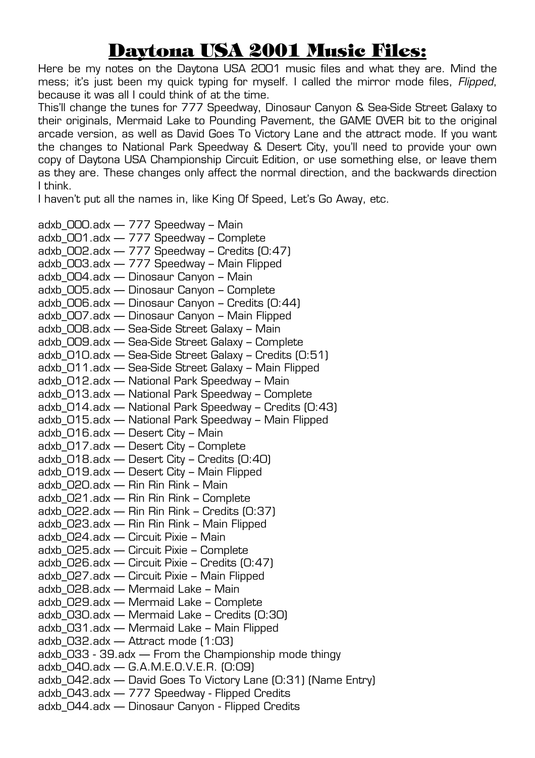## Daytona USA 2001 Music Files:

Here be my notes on the Daytona USA 2001 music files and what they are. Mind the mess; it's just been my quick typing for myself. I called the mirror mode files, *Flipped*, because it was all I could think of at the time.

This'll change the tunes for 777 Speedway, Dinosaur Canyon & Sea-Side Street Galaxy to their originals, Mermaid Lake to Pounding Pavement, the GAME OVER bit to the original arcade version, as well as David Goes To Victory Lane and the attract mode. If you want the changes to National Park Speedway & Desert City, you'll need to provide your own copy of Daytona USA Championship Circuit Edition, or use something else, or leave them as they are. These changes only affect the normal direction, and the backwards direction I think.

I haven't put all the names in, like King Of Speed, Let's Go Away, etc.

adxb\_000.adx — 777 Speedway – Main adxb\_001.adx — 777 Speedway – Complete adxb  $OO2$ .adx  $-777$  Speedway – Credits  $[0:47]$ adxb\_003.adx — 777 Speedway – Main Flipped adxb\_004.adx — Dinosaur Canyon – Main adxb\_005.adx — Dinosaur Canyon – Complete adxb\_006.adx — Dinosaur Canyon – Credits (0:44) adxb\_007.adx — Dinosaur Canyon – Main Flipped adxb\_008.adx — Sea-Side Street Galaxy – Main adxb\_009.adx — Sea-Side Street Galaxy – Complete adxb\_010.adx — Sea-Side Street Galaxy – Credits (0:51) adxb\_011.adx — Sea-Side Street Galaxy – Main Flipped adxb\_012.adx — National Park Speedway – Main adxb\_013.adx — National Park Speedway – Complete adxb\_014.adx — National Park Speedway – Credits (0:43) adxb\_015.adx — National Park Speedway – Main Flipped adxb\_016.adx — Desert City – Main adxb\_017.adx — Desert City – Complete adxb\_018.adx — Desert City – Credits (0:40) adxb\_019.adx — Desert City – Main Flipped adxb\_020.adx — Rin Rin Rink – Main adxb\_021.adx — Rin Rin Rink – Complete adxb\_022.adx — Rin Rin Rink – Credits (0:37) adxb\_023.adx — Rin Rin Rink – Main Flipped adxb\_024.adx — Circuit Pixie – Main adxb\_025.adx — Circuit Pixie – Complete adxb\_026.adx — Circuit Pixie – Credits (0:47) adxb\_027.adx — Circuit Pixie – Main Flipped adxb\_028.adx — Mermaid Lake – Main adxb\_029.adx — Mermaid Lake – Complete adxb\_030.adx — Mermaid Lake – Credits (0:30) adxb\_031.adx — Mermaid Lake – Main Flipped adxb\_032.adx — Attract mode (1:03) adxb\_033 - 39.adx — From the Championship mode thingy adxb\_040.adx — G.A.M.E.O.V.E.R. (0:09) adxb\_042.adx — David Goes To Victory Lane (0:31) (Name Entry) adxb\_043.adx — 777 Speedway - Flipped Credits adxb\_044.adx — Dinosaur Canyon - Flipped Credits